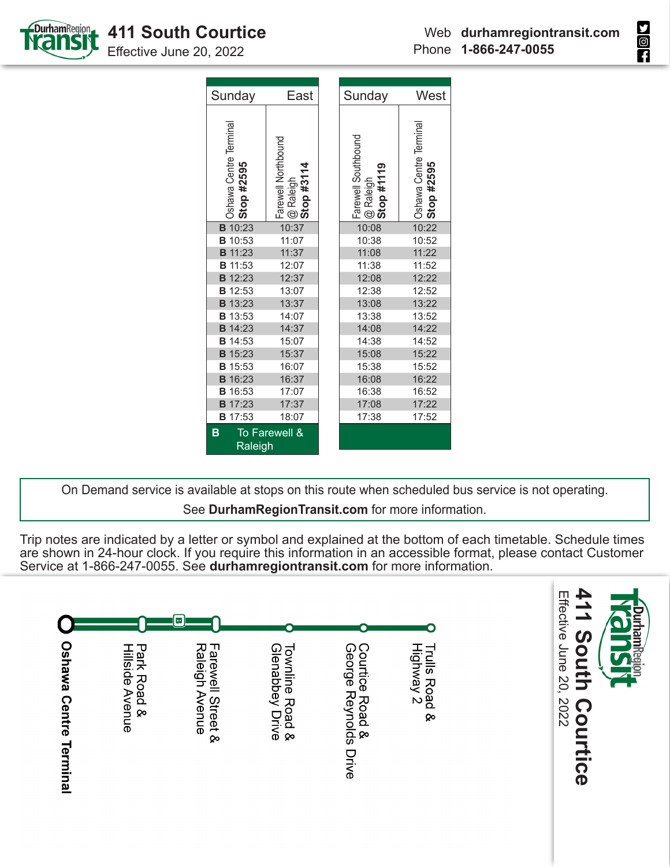



Effective June 20, 2022

| Sunday                               | East                                                        | Sunday                                              | West                                 |  |  |  |
|--------------------------------------|-------------------------------------------------------------|-----------------------------------------------------|--------------------------------------|--|--|--|
| Oshawa Centre Terminal<br>Stop #2595 | , Farewell Northbound<br>  @ Raleigh<br><b>  Stop #3114</b> | _Farewell Southbound<br>  @ Raleigh<br>  Stop #1119 | Oshawa Centre Terminal<br>Stop #2595 |  |  |  |
| <b>B</b> 10:23                       | 10:37                                                       | 10:08                                               | 10:22                                |  |  |  |
| <b>B</b> 10:53                       | 11:07                                                       | 10:38                                               | 10:52                                |  |  |  |
| <b>B</b> 11:23                       | 11:37                                                       | 11:08                                               | 11:22                                |  |  |  |
| <b>B</b> 11:53                       | 12:07                                                       | 11:38                                               | 11:52                                |  |  |  |
| <b>B</b> 12:23                       | 12:37                                                       | 12:08                                               | 12:22                                |  |  |  |
| <b>B</b> 12:53                       | 13:07                                                       | 12:38                                               | 12:52                                |  |  |  |
| <b>B</b> 13:23                       | 13:37                                                       | 13:08                                               | 13:22                                |  |  |  |
| <b>B</b> 13:53                       | 14:07                                                       | 13:38                                               | 13:52                                |  |  |  |
| <b>B</b> 14:23                       | 14:37                                                       | 14:08                                               | 14:22                                |  |  |  |
| <b>B</b> 14:53                       | 15:07                                                       | 14:38                                               | 14:52                                |  |  |  |
| <b>B</b> 15:23                       | 15:37                                                       | 15:08                                               | 15:22                                |  |  |  |
| <b>B</b> 15:53                       | 16:07                                                       | 15:38                                               | 15:52                                |  |  |  |
| <b>B</b> 16:23                       | 16:37                                                       | 16:08                                               | 16:22                                |  |  |  |
| <b>B</b> 16:53                       | 17:07                                                       | 16:38                                               | 16:52                                |  |  |  |
| <b>B</b> 17:23                       | 17:37                                                       | 17:08                                               | 17:22                                |  |  |  |
| <b>B</b> 17:53                       | 18:07                                                       | 17:38                                               | 17:52                                |  |  |  |
| B<br>Raleigh                         | To Farewell &                                               |                                                     |                                      |  |  |  |

On Demand service is available at stops on this route when scheduled bus service is not operating. See **DurhamRegionTransit.com** for more information.

Trip notes are indicated by a letter or symbol and explained at the bottom of each timetable. Schedule times are shown in 24-hour clock. If you require this information in an accessible format, please contact Customer Service at 1-866-247-0055. See **durhamregiontransit.com** for more information.